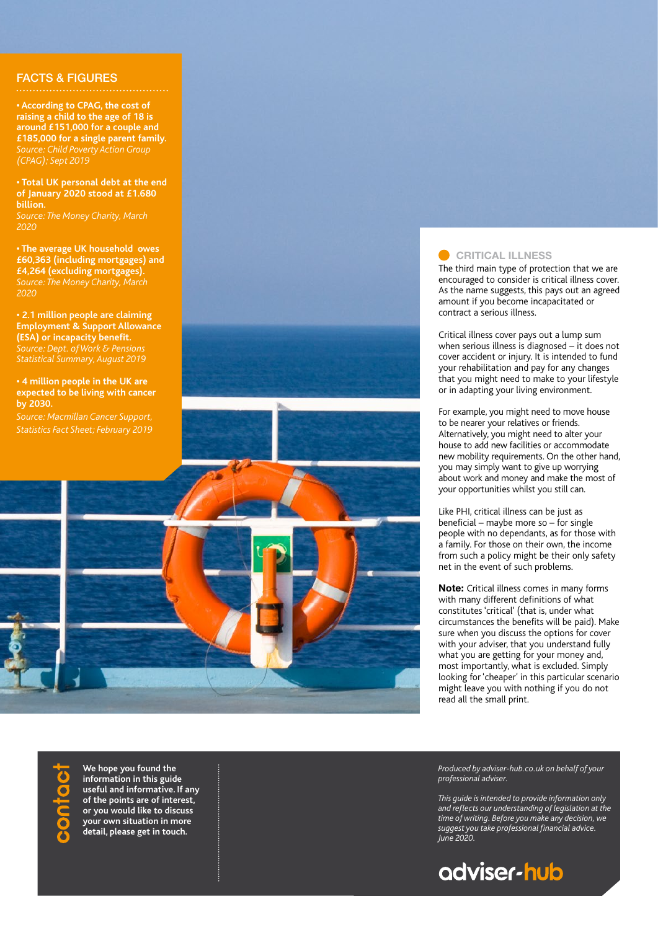## FACTS & FIGURES

**• According to CPAG, the cost of raising a child to the age of 18 is around £151,000 for a couple and £185,000 for a single parent family.** *Source: Child Poverty Action Group (CPAG); Sept 2019*

**• Total UK personal debt at the end of January 2020 stood at £1.680 billion.** *2020*

**• The average UK household owes £60,363 (including mortgages) and £4,264 (excluding mortgages).** *2020*

**• 2.1 million people are claiming Employment & Support Allowance (ESA) or incapacity benefit.** *Source: Dept. of Work & Pensions Statistical Summary, August 2019*

**• 4 million people in the UK are expected to be living with cancer by 2030.**



### **CRITICAL ILLNESS**

The third main type of protection that we are encouraged to consider is critical illness cover. As the name suggests, this pays out an agreed amount if you become incapacitated or contract a serious illness.

Critical illness cover pays out a lump sum when serious illness is diagnosed – it does not cover accident or injury. It is intended to fund your rehabilitation and pay for any changes that you might need to make to your lifestyle or in adapting your living environment.

For example, you might need to move house to be nearer your relatives or friends. Alternatively, you might need to alter your house to add new facilities or accommodate new mobility requirements. On the other hand, you may simply want to give up worrying about work and money and make the most of your opportunities whilst you still can.

Like PHI, critical illness can be just as beneficial – maybe more so – for single people with no dependants, as for those with a family. For those on their own, the income from such a policy might be their only safety net in the event of such problems.

**Note:** Critical illness comes in many forms with many different definitions of what constitutes 'critical' (that is, under what circumstances the benefits will be paid). Make sure when you discuss the options for cover with your adviser, that you understand fully what you are getting for your money and, most importantly, what is excluded. Simply looking for 'cheaper' in this particular scenario might leave you with nothing if you do not read all the small print.

**We hope you found the information in this guide useful and informative. If any of the points are of interest, or you would like to discuss your own situation in more detail, please get in touch.**

*Produced by adviser-hub.co.uk on behalf of your professional adviser.* 

*This guide is intended to provide information only and reflects our understanding of legislation at the time of writing. Before you make any decision, we suggest you take professional financial advice. June 2020.*

# adviser-hub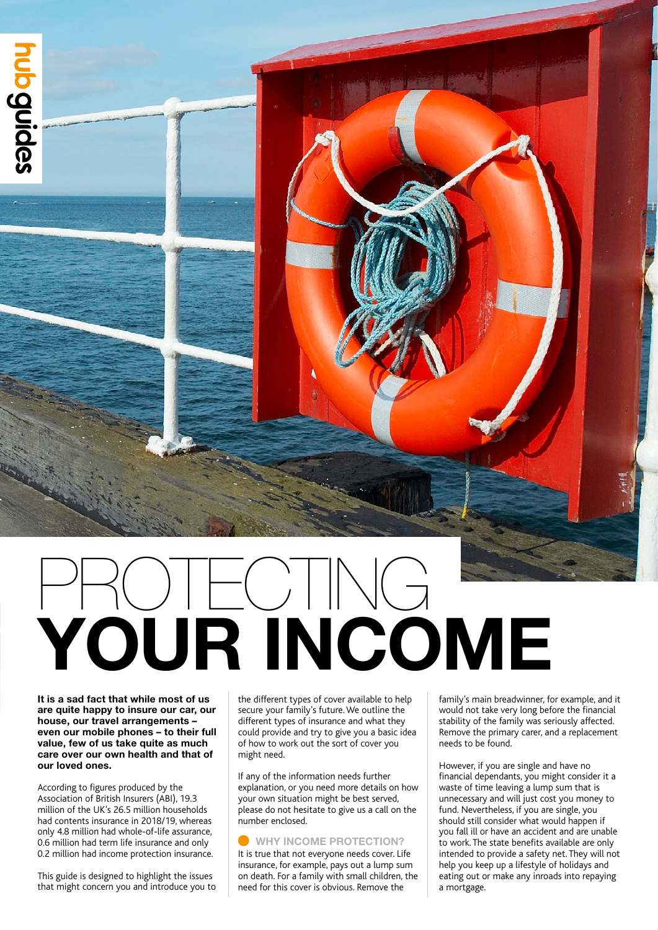

# **YOUR INCOME** PROTECTING

**It is a sad fact that while most of us are quite happy to insure our car, our house, our travel arrangements – even our mobile phones – to their full value, few of us take quite as much care over our own health and that of our loved ones.** 

According to figures produced by the Association of British Insurers (ABI), 19.3 million of the UK's 26.5 million households had contents insurance in 2018/19, whereas only 4.8 million had whole-of-life assurance, 0.6 million had term life insurance and only 0.2 million had income protection insurance.

This guide is designed to highlight the issues that might concern you and introduce you to the different types of cover available to help secure your family's future. We outline the different types of insurance and what they could provide and try to give you a basic idea of how to work out the sort of cover you might need.

If any of the information needs further explanation, or you need more details on how your own situation might be best served, please do not hesitate to give us a call on the number enclosed.

### **WHY INCOME PROTECTION?**

It is true that not everyone needs cover. Life insurance, for example, pays out a lump sum on death. For a family with small children, the need for this cover is obvious. Remove the

family's main breadwinner, for example, and it would not take very long before the financial stability of the family was seriously affected. Remove the primary carer, and a replacement needs to be found.

However, if you are single and have no financial dependants, you might consider it a waste of time leaving a lump sum that is unnecessary and will just cost you money to fund. Nevertheless, if you are single, you should still consider what would happen if you fall ill or have an accident and are unable to work. The state benefits available are only intended to provide a safety net. They will not help you keep up a lifestyle of holidays and eating out or make any inroads into repaying a mortgage.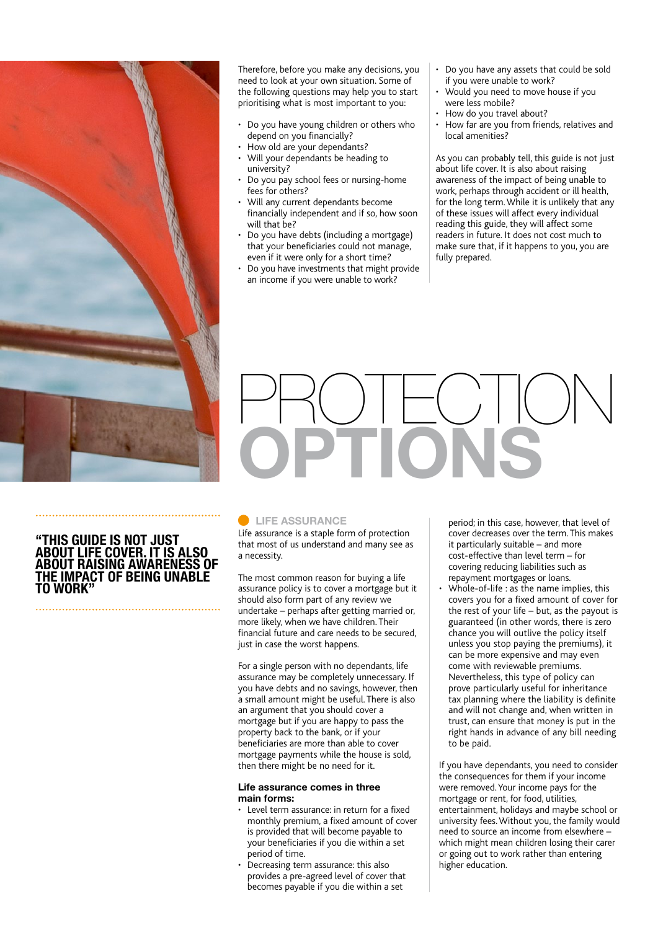

### Therefore, before you make any decisions, you need to look at your own situation. Some of the following questions may help you to start prioritising what is most important to you:

- Do you have young children or others who depend on you financially?
- How old are your dependants?
- Will your dependants be heading to university?
- Do you pay school fees or nursing-home fees for others?
- Will any current dependants become financially independent and if so, how soon will that be?
- Do you have debts (including a mortgage) that your beneficiaries could not manage, even if it were only for a short time?
- Do you have investments that might provide an income if you were unable to work?
- Do you have any assets that could be sold if you were unable to work?
- Would you need to move house if you were less mobile?
- How do you travel about?
- How far are you from friends, relatives and local amenities?

As you can probably tell, this guide is not just about life cover. It is also about raising awareness of the impact of being unable to work, perhaps through accident or ill health, for the long term. While it is unlikely that any of these issues will affect every individual reading this guide, they will affect some readers in future. It does not cost much to make sure that, if it happens to you, you are fully prepared.

# PROTECTION **OPTIONS**

### **"THIS GUIDE IS NOT JUST ABOUT LIFE COVER. IT IS ALSO ABOUT RAISING AWARENESS OF THE IMPACT OF BEING UNABLE TO WORK"**

### **LIFE ASSURANCE**

Life assurance is a staple form of protection that most of us understand and many see as a necessity.

The most common reason for buying a life assurance policy is to cover a mortgage but it should also form part of any review we undertake – perhaps after getting married or, more likely, when we have children. Their financial future and care needs to be secured, just in case the worst happens.

For a single person with no dependants, life assurance may be completely unnecessary. If you have debts and no savings, however, then a small amount might be useful. There is also an argument that you should cover a mortgage but if you are happy to pass the property back to the bank, or if your beneficiaries are more than able to cover mortgage payments while the house is sold, then there might be no need for it.

#### **Life assurance comes in three main forms:**

- Level term assurance: in return for a fixed monthly premium, a fixed amount of cover is provided that will become payable to your beneficiaries if you die within a set period of time.
- Decreasing term assurance: this also provides a pre-agreed level of cover that becomes payable if you die within a set

period; in this case, however, that level of cover decreases over the term. This makes it particularly suitable – and more cost-effective than level term – for covering reducing liabilities such as repayment mortgages or loans.

• Whole-of-life : as the name implies, this covers you for a fixed amount of cover for the rest of your life  $-$  but, as the payout is guaranteed (in other words, there is zero chance you will outlive the policy itself unless you stop paying the premiums), it can be more expensive and may even come with reviewable premiums. Nevertheless, this type of policy can prove particularly useful for inheritance tax planning where the liability is definite and will not change and, when written in trust, can ensure that money is put in the right hands in advance of any bill needing to be paid.

If you have dependants, you need to consider the consequences for them if your income were removed. Your income pays for the mortgage or rent, for food, utilities, entertainment, holidays and maybe school or university fees. Without you, the family would need to source an income from elsewhere – which might mean children losing their carer or going out to work rather than entering higher education.